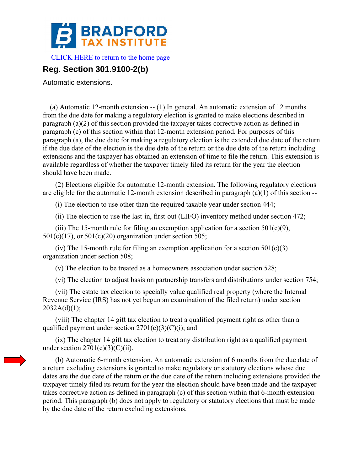

[CLICK HERE to return to the home page](http://bradfordtaxinstitute.com/index1.aspx) 

## **Reg. Section 301.9100-2(b)**

Automatic extensions.

 (a) Automatic 12-month extension -- (1) In general. An automatic extension of 12 months from the due date for making a regulatory election is granted to make elections described in paragraph (a)(2) of this section provided the taxpayer takes corrective action as defined in paragraph (c) of this section within that 12-month extension period. For purposes of this paragraph (a), the due date for making a regulatory election is the extended due date of the return if the due date of the election is the due date of the return or the due date of the return including extensions and the taxpayer has obtained an extension of time to file the return. This extension is available regardless of whether the taxpayer timely filed its return for the year the election should have been made.

 (2) Elections eligible for automatic 12-month extension. The following regulatory elections are eligible for the automatic 12-month extension described in paragraph (a)(1) of this section --

(i) The election to use other than the required taxable year under section 444;

(ii) The election to use the last-in, first-out (LIFO) inventory method under section 472;

(iii) The 15-month rule for filing an exemption application for a section  $501(c)(9)$ ,  $501(c)(17)$ , or  $501(c)(20)$  organization under section 505;

(iv) The 15-month rule for filing an exemption application for a section  $501(c)(3)$ organization under section 508;

(v) The election to be treated as a homeowners association under section 528;

(vi) The election to adjust basis on partnership transfers and distributions under section 754;

 (vii) The estate tax election to specially value qualified real property (where the Internal Revenue Service (IRS) has not yet begun an examination of the filed return) under section  $2032A(d)(1);$ 

 (viii) The chapter 14 gift tax election to treat a qualified payment right as other than a qualified payment under section  $2701(c)(3)(C)(i)$ ; and

 (ix) The chapter 14 gift tax election to treat any distribution right as a qualified payment under section  $2701(c)(3)(C)(ii)$ .

 (b) Automatic 6-month extension. An automatic extension of 6 months from the due date of a return excluding extensions is granted to make regulatory or statutory elections whose due dates are the due date of the return or the due date of the return including extensions provided the taxpayer timely filed its return for the year the election should have been made and the taxpayer takes corrective action as defined in paragraph (c) of this section within that 6-month extension period. This paragraph (b) does not apply to regulatory or statutory elections that must be made by the due date of the return excluding extensions.